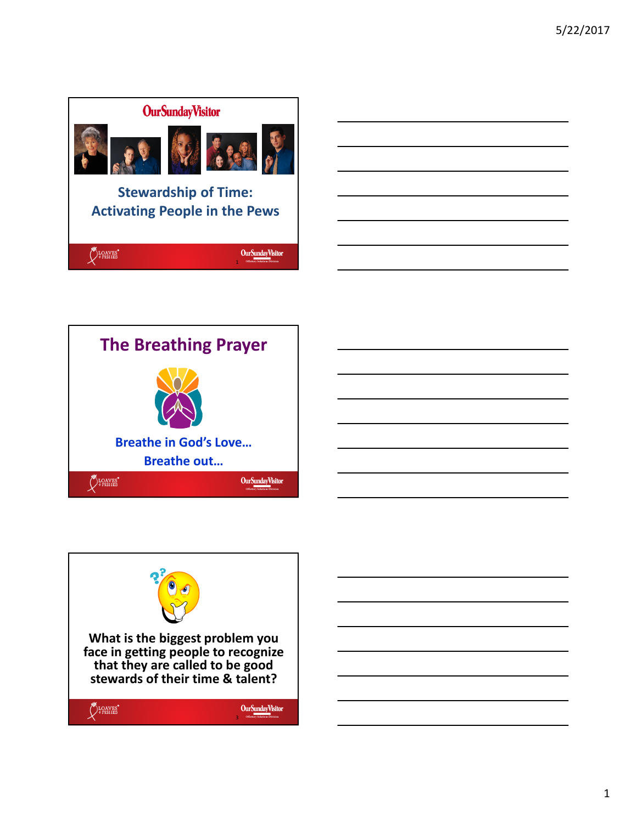





1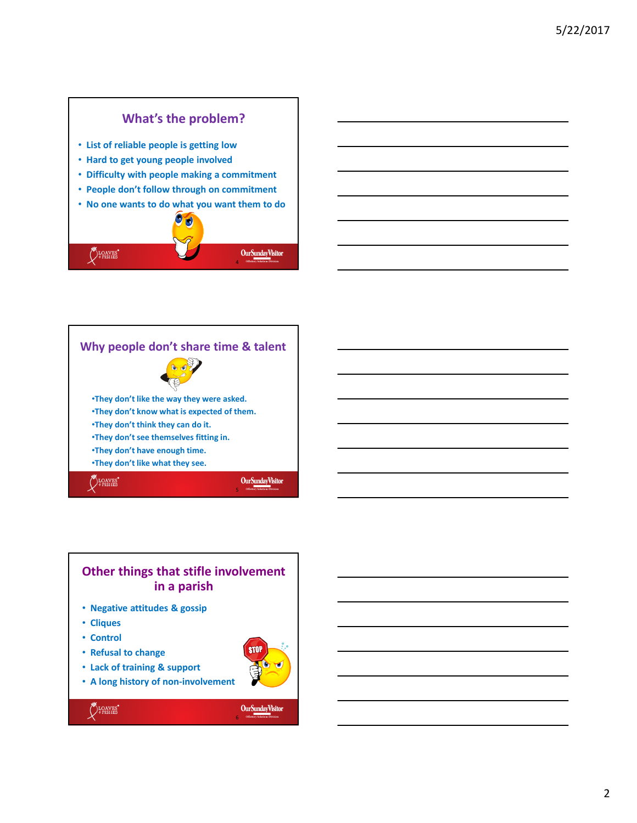## **What's the problem?**

- **List of reliable people is getting low**
- **Hard to get young people involved**
- **Difficulty with people making a commitment**
- **People don't follow through on commitment**
- **No one wants to do what you want them to do**







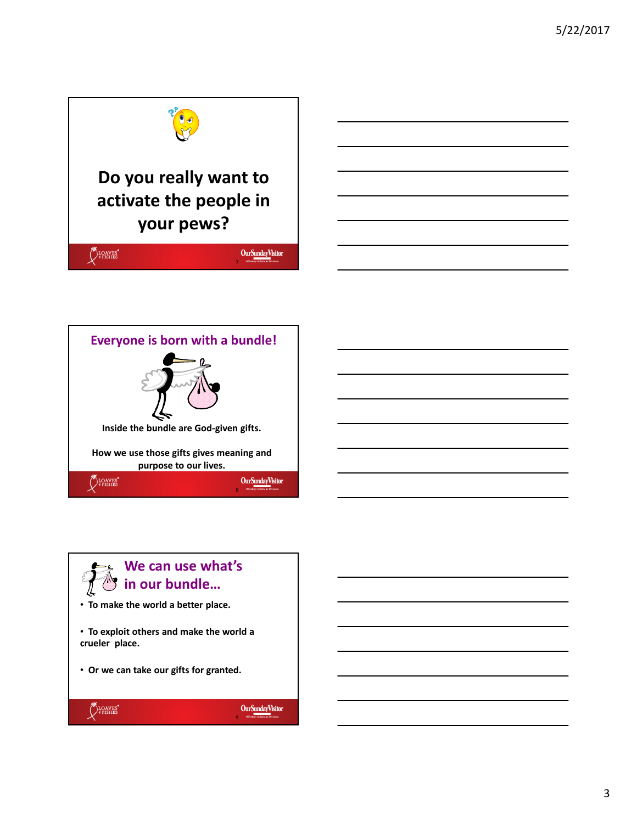





## **We can use what's in our bundle…** • **To make the world a better place.** • **To exploit others and make the world a crueler place.**

• **Or we can take our gifts for granted.**



9

Our Sunday Visitor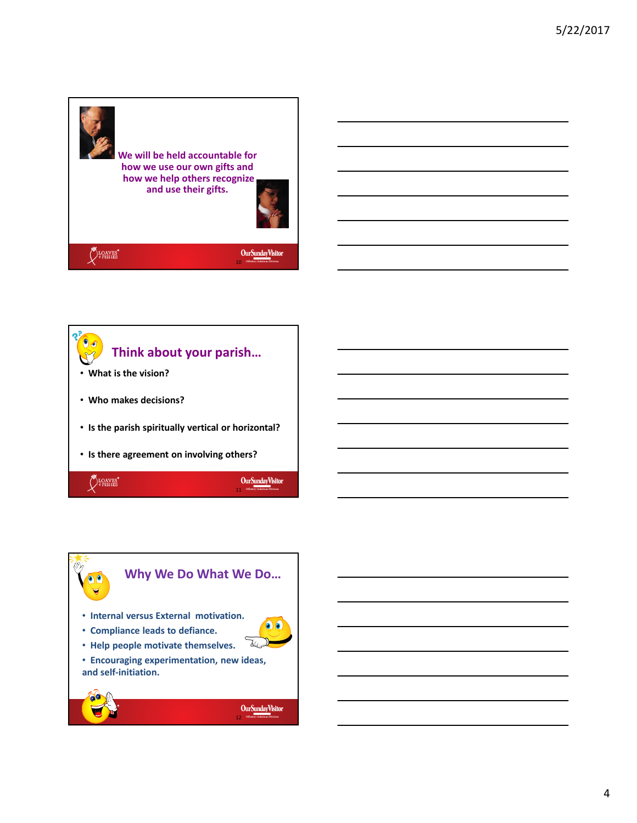





4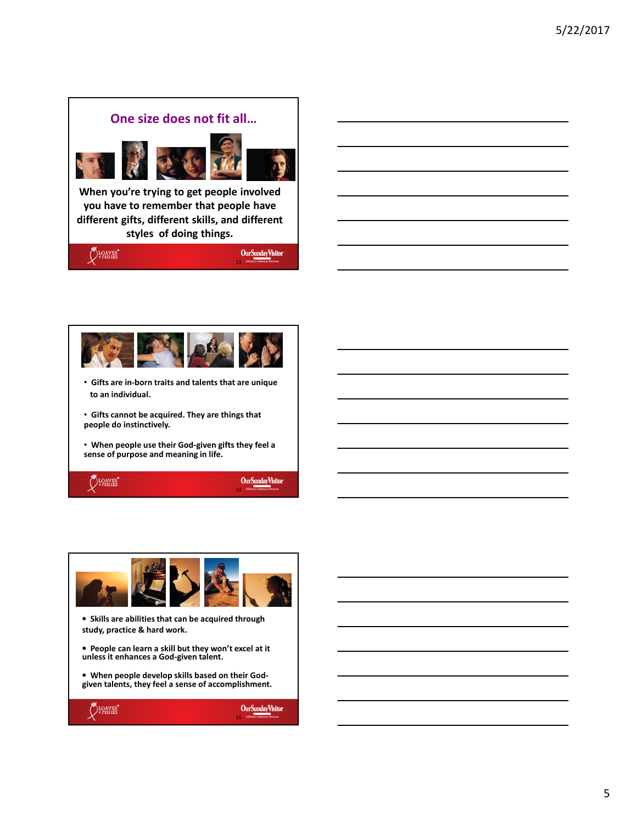



- **Gifts are in-born traits and talents that are unique to an individual.**
- **Gifts cannot be acquired. They are things that people do instinctively.**

• **When people use their God-given gifts they feel a sense of purpose and meaning in life.**







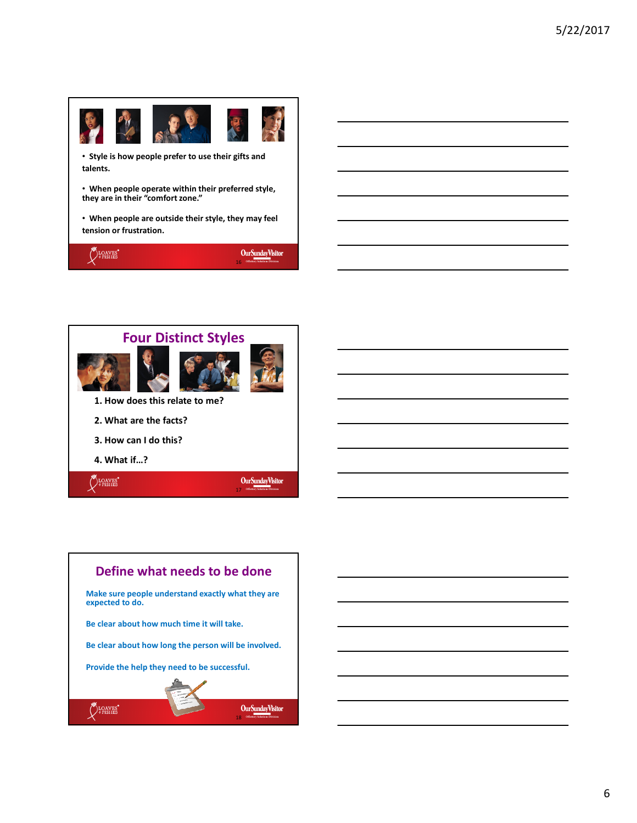

• **Style is how people prefer to use their gifts and talents.** 

• **When people operate within their preferred style, they are in their "comfort zone."** 

• **When people are outside their style, they may feel tension or frustration.** 





**Define what needs to be done Make sure people understand exactly what they are expected to do. Be clear about how much time it will take. Be clear about how long the person will be involved. Provide the help they need to be successful.**LOAVES' OurSundayVisitor 18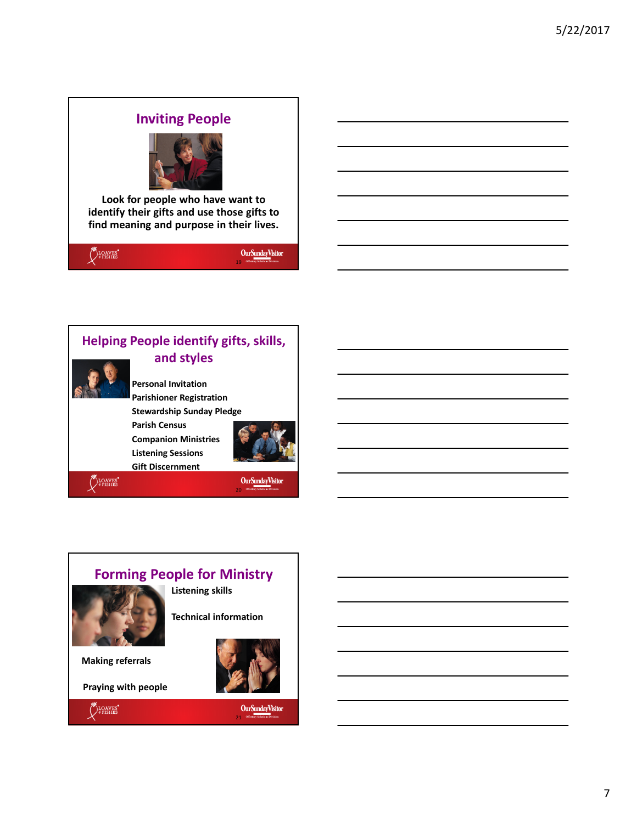## **Inviting People**



**Look for people who have want to identify their gifts and use those gifts to find meaning and purpose in their lives.**





## **Forming People for Ministry**



**Listening skills**

**Technical information** 

**Making referrals**

**Praying with people**



OurSundayVisitor

21